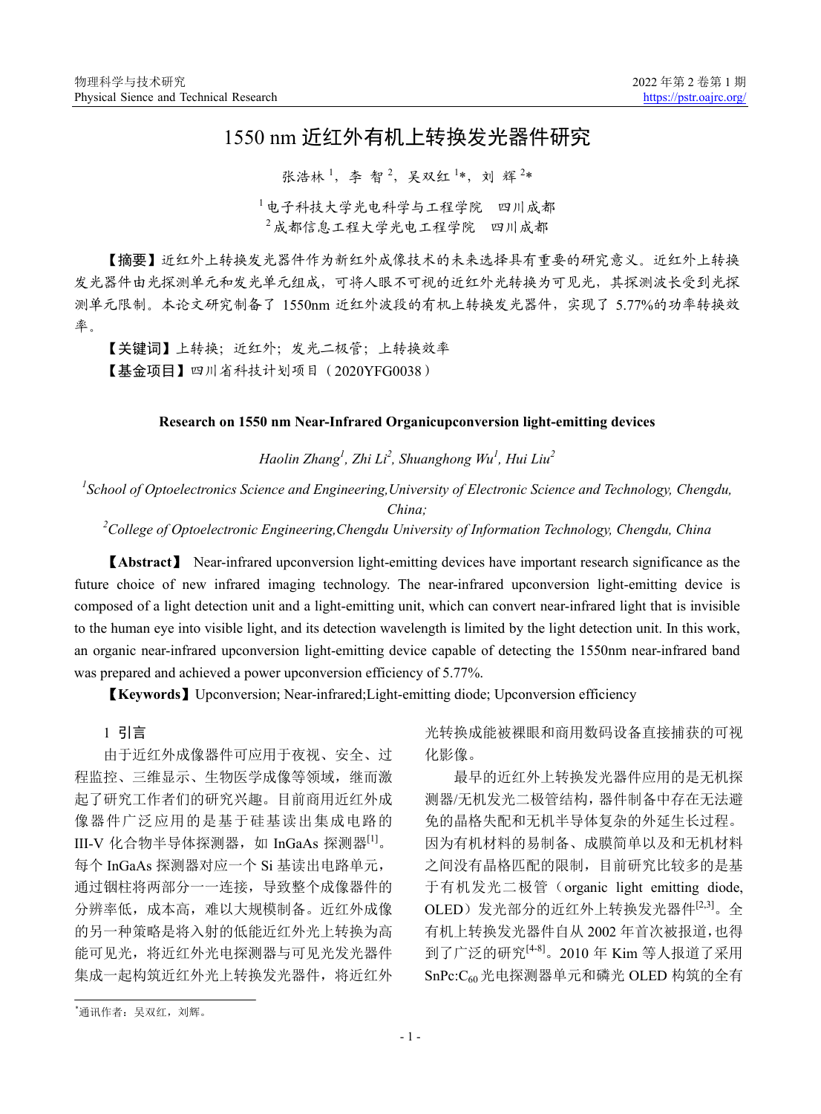# 1550 nm 近红外有机上转换发光器件研究

张浩林1,李智2,吴双红1\*,刘辉2\* <sup>1</sup>电子科技大学光电科学与工程学院 四川成都  $2\,$ 成都信息工程大学光电工程学院 四川成都

【摘要】近红外上转换发光器件作为新红外成像技术的未来选择具有重要的研究意义。近红外上转换 发光器件由光探测单元和发光单元组成,可将人眼不可视的近红外光转换为可见光,其探测波长受到光探 测单元限制。本论文研究制备了 1550nm 近红外波段的有机上转换发光器件,实现了 5.77%的功率转换效 率。

【关键词】上转换;近红外;发光二极管;上转换效率 【基金项目】四川省科技计划项目(2020YFG0038)

## **Research on 1550 nm Near-Infrared Organicupconversion light-emitting devices**

*Haolin Zhang1 , Zhi Li 2 , Shuanghong Wu1 , Hui Liu<sup>2</sup>*

*1 School of Optoelectronics Science and Engineering,University of Electronic Science and Technology, Chengdu,*

*China;*

*2 College of Optoelectronic Engineering,Chengdu University of Information Technology, Chengdu, China*

【**Abstract**】 Near-infrared upconversion light-emitting devices have important research significance as the future choice of new infrared imaging technology. The near-infrared upconversion light-emitting device is composed of a light detection unit and a light-emitting unit, which can convert near-infrared light that is invisible to the human eye into visible light, and its detection wavelength is limited by the light detection unit. In this work, an organic near-infrared upconversion light-emitting device capable of detecting the 1550nm near-infrared band was prepared and achieved a power upconversion efficiency of 5.77%.

【**Keywords**】Upconversion; Near-infrared;Light-emitting diode; Upconversion efficiency

1 引言

由于近红外成像器件可应用于夜视、安全、过 程监控、三维显示、生物医学成像等领域,继而激 起了研究工作者们的研究兴趣。目前商用近红外成 像器件广泛应用的是基于硅基读出集成电路的 III-V 化合物半导体探测器, 如 InGaAs 探测器<sup>[1]</sup>。 每个 InGaAs 探测器对应一个 Si 基读出电路单元, 通过铟柱将两部分一一连接,导致整个成像器件的 分辨率低,成本高,难以大规模制备。近红外成像 的另一种策略是将入射的低能近红外光上转换为高 能可见光,将近红外光电探测器与可见光发光器件 集成一起构筑近红外光上转换发光器件,将近红外 光转换成能被裸眼和商用数码设备直接捕获的可视 化影像。

最早的近红外上转换发光器件应用的是无机探 测器/无机发光二极管结构,器件制备中存在无法避 免的晶格失配和无机半导体复杂的外延生长过程。 因为有机材料的易制备、成膜简单以及和无机材料 之间没有晶格匹配的限制,目前研究比较多的是基 于有机发光二极管(organic light emitting diode, OLED)发光部分的近红外上转换发光器件<sup>[2,3]</sup>。全 有机上转换发光器件自从 2002 年首次被报道,也得 到了广泛的研究[4-8] 。2010 年 Kim 等人报道了采用 SnPc:C60 光电探测器单元和磷光 OLED 构筑的全有

<sup>\*</sup> 通讯作者:吴双红,刘辉。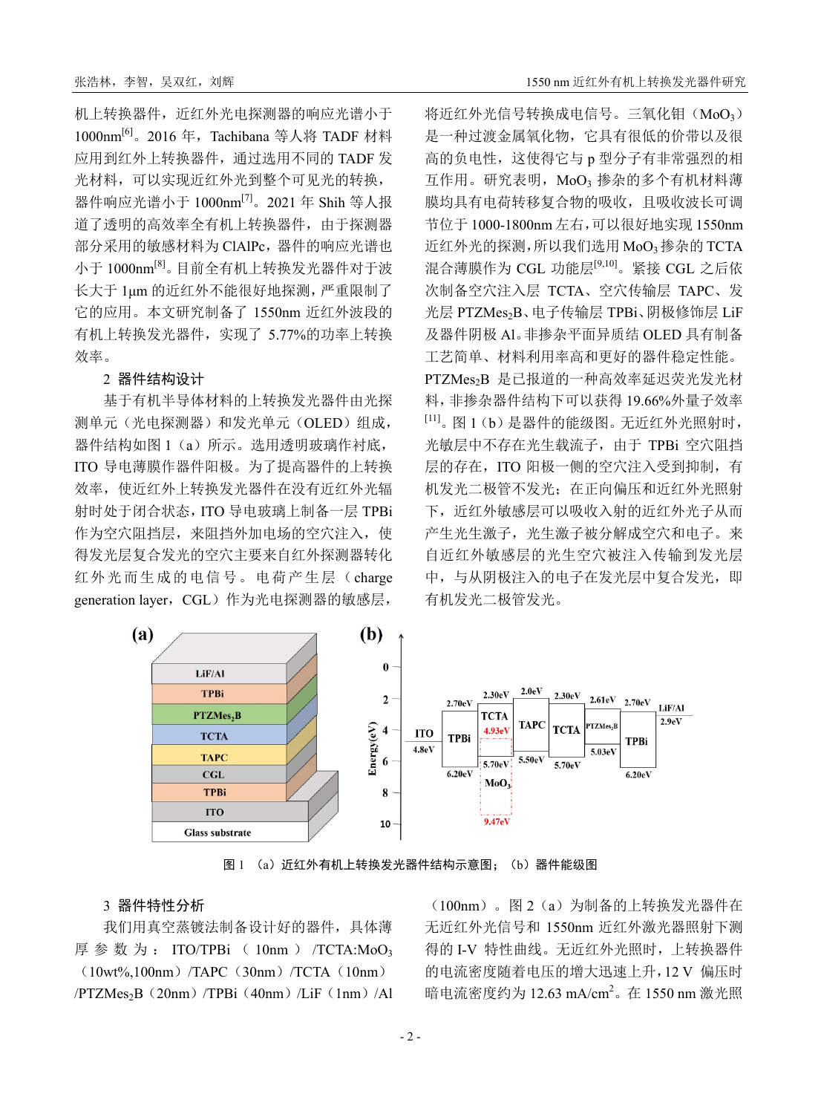机上转换器件, 近红外光电探测器的响应光谱小干 1000nm<sup>[6]</sup>。2016年, Tachibana 等人将 TADF 材料 应用到红外上转换器件,通过选用不同的 TADF 发 光材料,可以实现近红外光到整个可见光的转换, 器件响应光谱小于 1000nm[7] 。2021 年 Shih 等人报 道了透明的高效率全有机上转换器件,由于探测器 部分采用的敏感材料为 ClAlPc,器件的响应光谱也 小于 1000nm[8] 。目前全有机上转换发光器件对于波 长大于 1μm 的近红外不能很好地探测,严重限制了 它的应用。本文研究制备了 1550nm 近红外波段的 有机上转换发光器件,实现了 5.77%的功率上转换 效率。

#### 2 器件结构设计

基于有机半导体材料的上转换发光器件由光探 测单元(光电探测器)和发光单元(OLED)组成, 器件结构如图 1(a)所示。选用透明玻璃作衬底, ITO 导电薄膜作器件阳极。为了提高器件的上转换 效率,使近红外上转换发光器件在没有近红外光辐 射时处于闭合状态,ITO 导电玻璃上制备一层 TPBi 作为空穴阻挡层,来阻挡外加电场的空穴注入,使 得发光层复合发光的空穴主要来自红外探测器转化 红外光而生成的电信号。电荷产生层(charge generation layer, CGL)作为光电探测器的敏感层,

将近红外光信号转换成电信号。三氧化钼(MoO3) 是一种过渡金属氧化物,它具有很低的价带以及很 高的负电性,这使得它与 p 型分子有非常强烈的相 互作用。研究表明,MoO3 掺杂的多个有机材料薄 膜均具有电荷转移复合物的吸收,且吸收波长可调 节位于 1000-1800nm 左右,可以很好地实现 1550nm 近红外光的探测,所以我们选用 MoO3掺杂的 TCTA 混合薄膜作为 CGL 功能层<sup>[9,10]</sup>。紧接 CGL 之后依 次制备空穴注入层 TCTA、空穴传输层 TAPC、发 光层 PTZMes<sub>2</sub>B、电子传输层 TPBi、阴极修饰层 LiF 及器件阴极 Al。非掺杂平面异质结 OLED 具有制备 工艺简单、材料利用率高和更好的器件稳定性能。 PTZMes<sub>2</sub>B 是已报道的一种高效率延迟荧光发光材 料,非掺杂器件结构下可以获得 19.66%外量子效率 [11] 。图 1(b)是器件的能级图。无近红外光照射时, 光敏层中不存在光生载流子,由于 TPBi 空穴阻挡 层的存在,ITO 阳极一侧的空穴注入受到抑制,有 机发光二极管不发光;在正向偏压和近红外光照射 下,近红外敏感层可以吸收入射的近红外光子从而 产生光生激子,光生激子被分解成空穴和电子。来 自近红外敏感层的光生空穴被注入传输到发光层 中,与从阴极注入的电子在发光层中复合发光,即 有机发光二极管发光。



图 1 (a) 近红外有机上转换发光器件结构示意图; (b) 器件能级图

## 3 器件特性分析

我们用真空蒸镀法制备设计好的器件,具体薄 厚参数为: ITO/TPBi ( 10nm ) /TCTA:MoO3  $(10wt\%100nm)$  /TAPC $(30nm)$  /TCTA $(10nm)$ /PTZMes<sub>2</sub>B (20nm) /TPBi (40nm) /LiF (1nm) /Al

(100nm)。图 2(a)为制备的上转换发光器件在 无近红外光信号和 1550nm 近红外激光器照射下测 得的 I-V 特性曲线。无近红外光照时,上转换器件 的电流密度随着电压的增大迅速上升,12 V 偏压时 暗电流密度约为 12.63 mA/cm<sup>2</sup>。在 1550 nm 激光照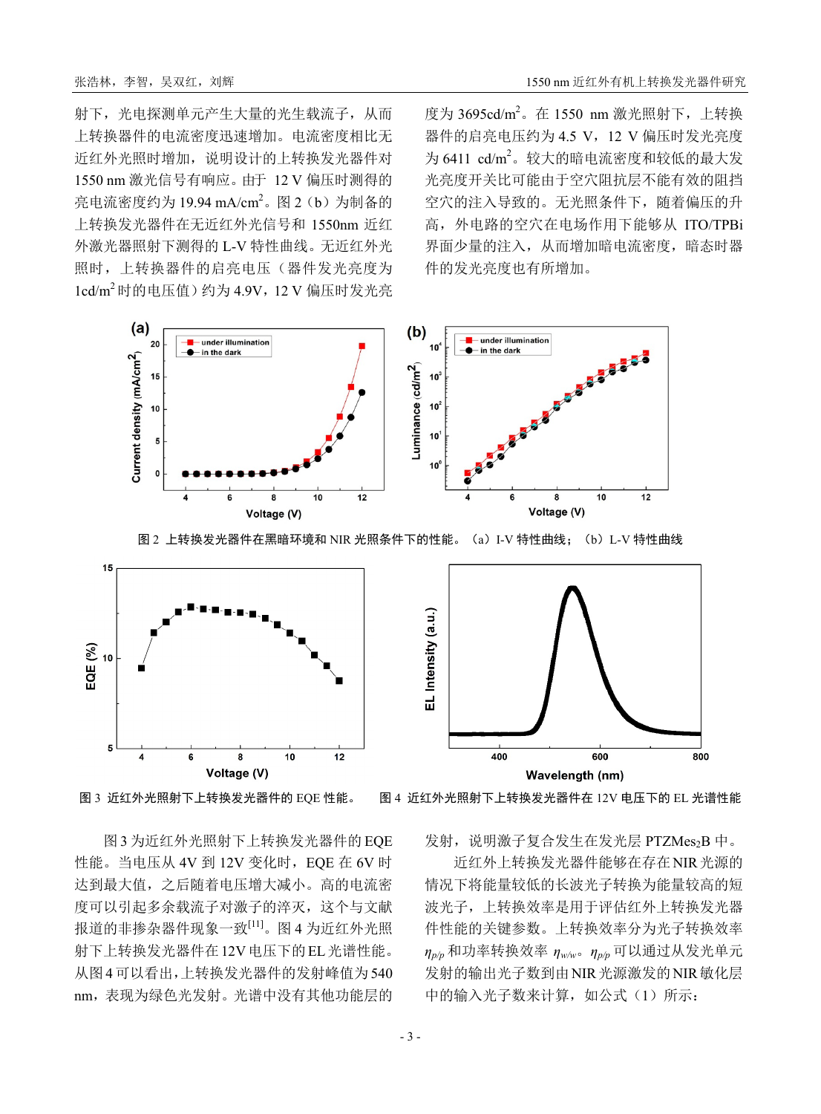射下,光电探测单元产生大量的光生载流子,从而 上转换器件的电流密度迅速增加。电流密度相比无 近红外光照时增加,说明设计的上转换发光器件对 1550 nm 激光信号有响应。由于 12 V 偏压时测得的 亮电流密度约为 19.94 mA/cm<sup>2</sup>。图 2 (b) 为制备的 上转换发光器件在无近红外光信号和 1550nm 近红 外激光器照射下测得的 L-V 特性曲线。无近红外光 照时,上转换器件的启亮电压(器件发光亮度为 1cd/m<sup>2</sup>时的电压值)约为 4.9V, 12 V 偏压时发光亮

度为 3695cd/m2。在 1550 nm 激光照射下, 上转换 器件的启亮电压约为 4.5 V,12 V 偏压时发光亮度 为 6411 cd/m2。较大的暗电流密度和较低的最大发 光亮度开关比可能由于空穴阻抗层不能有效的阻挡 空穴的注入导致的。无光照条件下,随着偏压的升 高,外电路的空穴在电场作用下能够从 ITO/TPBi 界面少量的注入,从而增加暗电流密度,暗态时器 件的发光亮度也有所增加。



图 2 上转换发光器件在黑暗环境和 NIR 光照条件下的性能。(a)I-V 特性曲线;(b)L-V 特性曲线





图 3 为近红外光照射下上转换发光器件的 EQE 性能。当电压从 4V 到 12V 变化时, EQE 在 6V 时 达到最大值,之后随着电压增大减小。高的电流密 度可以引起多余载流子对激子的淬灭,这个与文献 报道的非掺杂器件现象一致[11] 。图 4 为近红外光照 射下上转换发光器件在12V电压下的EL光谱性能。 从图4 可以看出,上转换发光器件的发射峰值为540 nm,表现为绿色光发射。光谱中没有其他功能层的

图 3 近红外光照射下上转换发光器件的 EOE 性能。 图 4 近红外光照射下上转换发光器件在 12V 电压下的 EL 光谱性能

发射, 说明激子复合发生在发光层 PTZMes2B 中。

近红外上转换发光器件能够在存在NIR光源的 情况下将能量较低的长波光子转换为能量较高的短 波光子,上转换效率是用于评估红外上转换发光器 件性能的关键参数。上转换效率分为光子转换效率 *ηp/p* 和功率转换效率 *ηw/w*。*ηp/p* 可以通过从发光单元 发射的输出光子数到由NIR光源激发的NIR敏化层 中的输入光子数来计算,如公式(1)所示: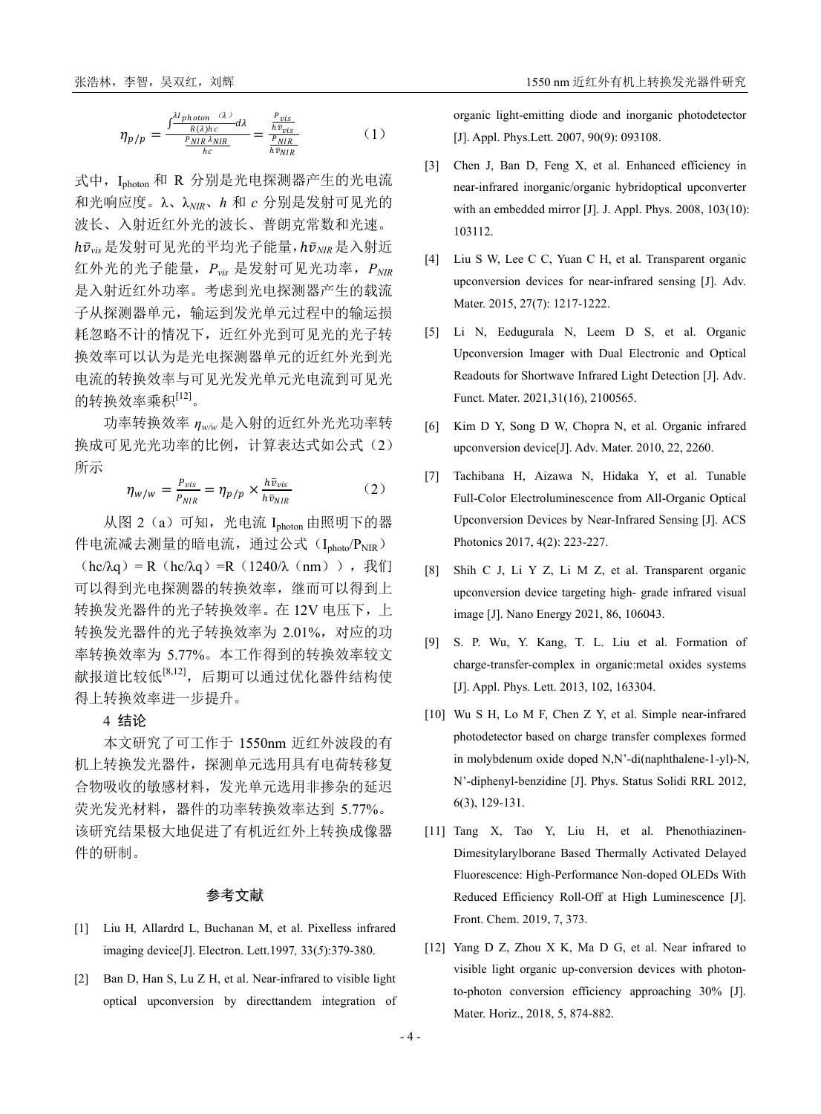$$
\eta_{p/p} = \frac{\int_{\frac{P_{Nlp}}{\sqrt{R(\lambda)}hc}}^{\frac{M_{photon}}{R(\lambda)}hc} d\lambda}{\frac{P_{NIR}}{hc}} = \frac{\frac{P_{vis}}{h\overline{v}_{vis}}}{\frac{P_{NIR}}{h\overline{v}_{NIR}}} \tag{1}
$$

式中, Iphoton 和 R 分别是光电探测器产生的光电流 和光响应度。λ、λ*NIR*、*h* 和 *c* 分别是发射可见光的 波长、入射近红外光的波长、普朗克常数和光速。  $h\bar v_{\rm vis}$ 是发射可见光的平均光子能量,h $\bar v_{\rm\scriptscriptstyle NR}$ 是入射近 红外光的光子能量,*Pvis* 是发射可见光功率,*PNIR* 是入射近红外功率。考虑到光电探测器产生的载流 子从探测器单元,输运到发光单元过程中的输运损 耗忽略不计的情况下,近红外光到可见光的光子转 换效率可以认为是光电探测器单元的近红外光到光 电流的转换效率与可见光发光单元光电流到可见光 的转换效率乘积[12]。

功率转换效率 *ηw/w*是入射的近红外光光功率转 换成可见光光功率的比例,计算表达式如公式(2) 所示

$$
\eta_{w/w} = \frac{P_{vis}}{P_{NIR}} = \eta_{p/p} \times \frac{h\bar{v}_{vis}}{h\bar{v}_{NIR}}
$$
 (2)

从图 2(a)可知,光电流 Iphoton 由照明下的器 件电流减去测量的暗电流,通过公式(Iphoto/PNIR)

(hc/λq) = R(hc/λq) = R(1240/λ(nm)),  $\hat{\mathcal{R}}$ 们 可以得到光电探测器的转换效率,继而可以得到上 转换发光器件的光子转换效率。在 12V 电压下, 上 转换发光器件的光子转换效率为 2.01%, 对应的功 率转换效率为 5.77%。本工作得到的转换效率较文 献报道比较低<sup>[8,12]</sup>, 后期可以通过优化器件结构使 得上转换效率进一步提升。

# 4 结论

本文研究了可工作于 1550nm 近红外波段的有 机上转换发光器件,探测单元选用具有电荷转移复 合物吸收的敏感材料,发光单元选用非掺杂的延迟 荧光发光材料,器件的功率转换效率达到 5.77%。 该研究结果极大地促进了有机近红外上转换成像器 件的研制。

#### 参考文献

- [1] Liu H*,* Allardrd L, Buchanan M, et al. Pixelless infrared imaging device[J]. Electron. Lett.1997*,* 33(*5*):379-380.
- [2] Ban D, Han S, Lu Z H, et al. Near-infrared to visible light optical upconversion by directtandem integration of

organic light-emitting diode and inorganic photodetector [J]. Appl. Phys.Lett. 2007, 90(9): 093108.

- [3] Chen J, Ban D, Feng X, et al. Enhanced efficiency in near-infrared inorganic/organic hybridoptical upconverter with an embedded mirror [J]. J. Appl. Phys. 2008, 103(10): 103112.
- [4] Liu S W, Lee C C, Yuan C H, et al. Transparent organic upconversion devices for near-infrared sensing [J]. Adv. Mater. 2015, 27(7): 1217-1222.
- [5] Li N, Eedugurala N, Leem D S, et al. Organic Upconversion Imager with Dual Electronic and Optical Readouts for Shortwave Infrared Light Detection [J]. Adv. Funct. Mater. 2021,31(16), 2100565.
- [6] Kim D Y, Song D W, Chopra N, et al. Organic infrared upconversion device[J]. Adv. Mater. 2010, 22, 2260.
- [7] Tachibana H, Aizawa N, Hidaka Y, et al. Tunable Full-Color Electroluminescence from All-Organic Optical Upconversion Devices by Near-Infrared Sensing [J]. ACS Photonics 2017, 4(2): 223-227.
- [8] Shih C J, Li Y Z, Li M Z, et al. Transparent organic upconversion device targeting high- grade infrared visual image [J]. Nano Energy 2021, 86, 106043.
- [9] S. P. Wu, Y. Kang, T. L. Liu et al. Formation of charge-transfer-complex in organic:metal oxides systems [J]. Appl. Phys. Lett. 2013, 102, 163304.
- [10] Wu S H, Lo M F, Chen Z Y, et al. Simple near-infrared photodetector based on charge transfer complexes formed in molybdenum oxide doped N,N'-di(naphthalene-1-yl)-N, N'-diphenyl-benzidine [J]. Phys. Status Solidi RRL 2012, 6(3), 129-131.
- [11] Tang X, Tao Y, Liu H, et al. Phenothiazinen-Dimesitylarylborane Based Thermally Activated Delayed Fluorescence: High-Performance Non-doped OLEDs With Reduced Efficiency Roll-Off at High Luminescence [J]. Front. Chem. 2019, 7, 373.
- [12] Yang D Z, Zhou X K, Ma D G, et al. Near infrared to visible light organic up-conversion devices with photonto-photon conversion efficiency approaching 30% [J]. Mater. Horiz., 2018, 5, 874-882.